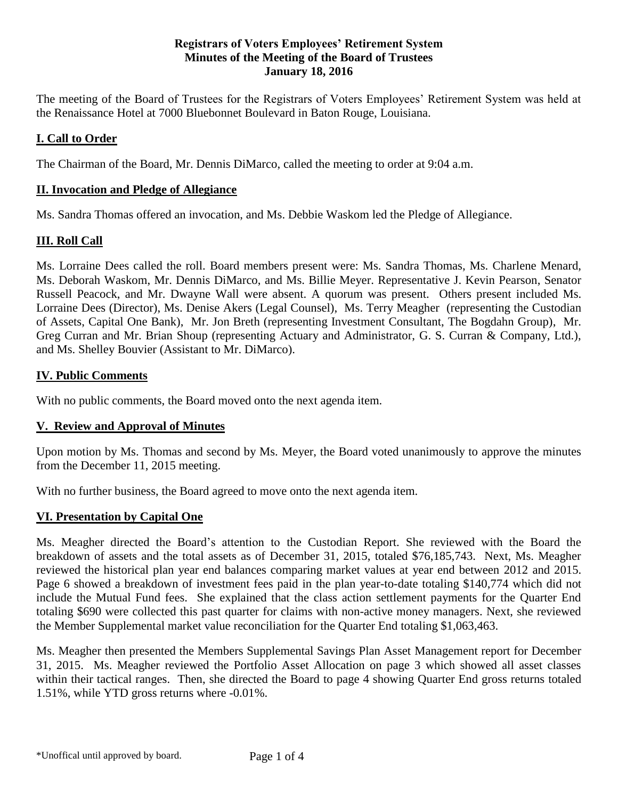#### **Registrars of Voters Employees' Retirement System Minutes of the Meeting of the Board of Trustees January 18, 2016**

The meeting of the Board of Trustees for the Registrars of Voters Employees' Retirement System was held at the Renaissance Hotel at 7000 Bluebonnet Boulevard in Baton Rouge, Louisiana.

# **I. Call to Order**

The Chairman of the Board, Mr. Dennis DiMarco, called the meeting to order at 9:04 a.m.

### **II. Invocation and Pledge of Allegiance**

Ms. Sandra Thomas offered an invocation, and Ms. Debbie Waskom led the Pledge of Allegiance.

### **III. Roll Call**

Ms. Lorraine Dees called the roll. Board members present were: Ms. Sandra Thomas, Ms. Charlene Menard, Ms. Deborah Waskom, Mr. Dennis DiMarco, and Ms. Billie Meyer. Representative J. Kevin Pearson, Senator Russell Peacock, and Mr. Dwayne Wall were absent. A quorum was present. Others present included Ms. Lorraine Dees (Director), Ms. Denise Akers (Legal Counsel), Ms. Terry Meagher (representing the Custodian of Assets, Capital One Bank), Mr. Jon Breth (representing Investment Consultant, The Bogdahn Group), Mr. Greg Curran and Mr. Brian Shoup (representing Actuary and Administrator, G. S. Curran & Company, Ltd.), and Ms. Shelley Bouvier (Assistant to Mr. DiMarco).

# **IV. Public Comments**

With no public comments, the Board moved onto the next agenda item.

### **V. Review and Approval of Minutes**

Upon motion by Ms. Thomas and second by Ms. Meyer, the Board voted unanimously to approve the minutes from the December 11, 2015 meeting.

With no further business, the Board agreed to move onto the next agenda item.

### **VI. Presentation by Capital One**

Ms. Meagher directed the Board's attention to the Custodian Report. She reviewed with the Board the breakdown of assets and the total assets as of December 31, 2015, totaled \$76,185,743. Next, Ms. Meagher reviewed the historical plan year end balances comparing market values at year end between 2012 and 2015. Page 6 showed a breakdown of investment fees paid in the plan year-to-date totaling \$140,774 which did not include the Mutual Fund fees. She explained that the class action settlement payments for the Quarter End totaling \$690 were collected this past quarter for claims with non-active money managers. Next, she reviewed the Member Supplemental market value reconciliation for the Quarter End totaling \$1,063,463.

Ms. Meagher then presented the Members Supplemental Savings Plan Asset Management report for December 31, 2015. Ms. Meagher reviewed the Portfolio Asset Allocation on page 3 which showed all asset classes within their tactical ranges. Then, she directed the Board to page 4 showing Quarter End gross returns totaled 1.51%, while YTD gross returns where -0.01%.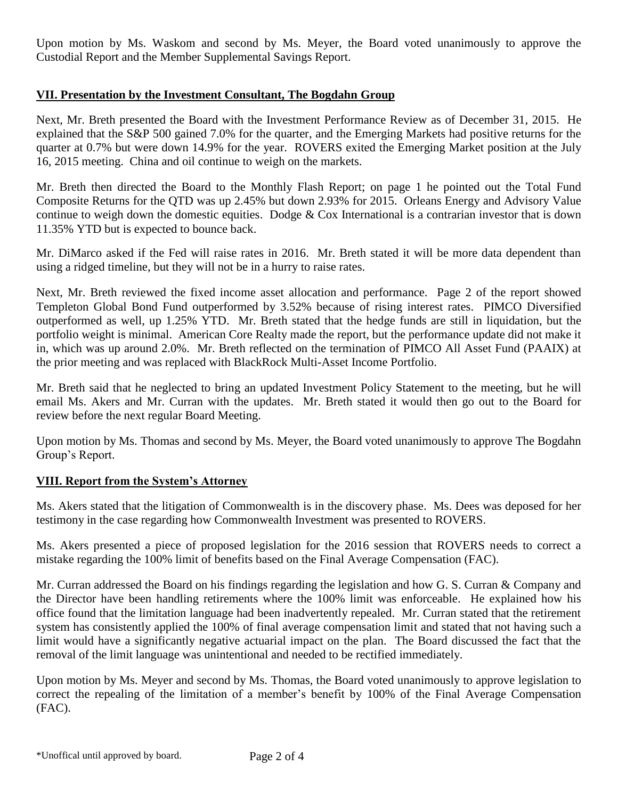Upon motion by Ms. Waskom and second by Ms. Meyer, the Board voted unanimously to approve the Custodial Report and the Member Supplemental Savings Report.

# **VII. Presentation by the Investment Consultant, The Bogdahn Group**

Next, Mr. Breth presented the Board with the Investment Performance Review as of December 31, 2015. He explained that the S&P 500 gained 7.0% for the quarter, and the Emerging Markets had positive returns for the quarter at 0.7% but were down 14.9% for the year. ROVERS exited the Emerging Market position at the July 16, 2015 meeting. China and oil continue to weigh on the markets.

Mr. Breth then directed the Board to the Monthly Flash Report; on page 1 he pointed out the Total Fund Composite Returns for the QTD was up 2.45% but down 2.93% for 2015. Orleans Energy and Advisory Value continue to weigh down the domestic equities. Dodge & Cox International is a contrarian investor that is down 11.35% YTD but is expected to bounce back.

Mr. DiMarco asked if the Fed will raise rates in 2016. Mr. Breth stated it will be more data dependent than using a ridged timeline, but they will not be in a hurry to raise rates.

Next, Mr. Breth reviewed the fixed income asset allocation and performance. Page 2 of the report showed Templeton Global Bond Fund outperformed by 3.52% because of rising interest rates. PIMCO Diversified outperformed as well, up 1.25% YTD. Mr. Breth stated that the hedge funds are still in liquidation, but the portfolio weight is minimal. American Core Realty made the report, but the performance update did not make it in, which was up around 2.0%. Mr. Breth reflected on the termination of PIMCO All Asset Fund (PAAIX) at the prior meeting and was replaced with BlackRock Multi-Asset Income Portfolio.

Mr. Breth said that he neglected to bring an updated Investment Policy Statement to the meeting, but he will email Ms. Akers and Mr. Curran with the updates. Mr. Breth stated it would then go out to the Board for review before the next regular Board Meeting.

Upon motion by Ms. Thomas and second by Ms. Meyer, the Board voted unanimously to approve The Bogdahn Group's Report.

### **VIII. Report from the System's Attorney**

Ms. Akers stated that the litigation of Commonwealth is in the discovery phase. Ms. Dees was deposed for her testimony in the case regarding how Commonwealth Investment was presented to ROVERS.

Ms. Akers presented a piece of proposed legislation for the 2016 session that ROVERS needs to correct a mistake regarding the 100% limit of benefits based on the Final Average Compensation (FAC).

Mr. Curran addressed the Board on his findings regarding the legislation and how G. S. Curran & Company and the Director have been handling retirements where the 100% limit was enforceable. He explained how his office found that the limitation language had been inadvertently repealed. Mr. Curran stated that the retirement system has consistently applied the 100% of final average compensation limit and stated that not having such a limit would have a significantly negative actuarial impact on the plan. The Board discussed the fact that the removal of the limit language was unintentional and needed to be rectified immediately.

Upon motion by Ms. Meyer and second by Ms. Thomas, the Board voted unanimously to approve legislation to correct the repealing of the limitation of a member's benefit by 100% of the Final Average Compensation (FAC).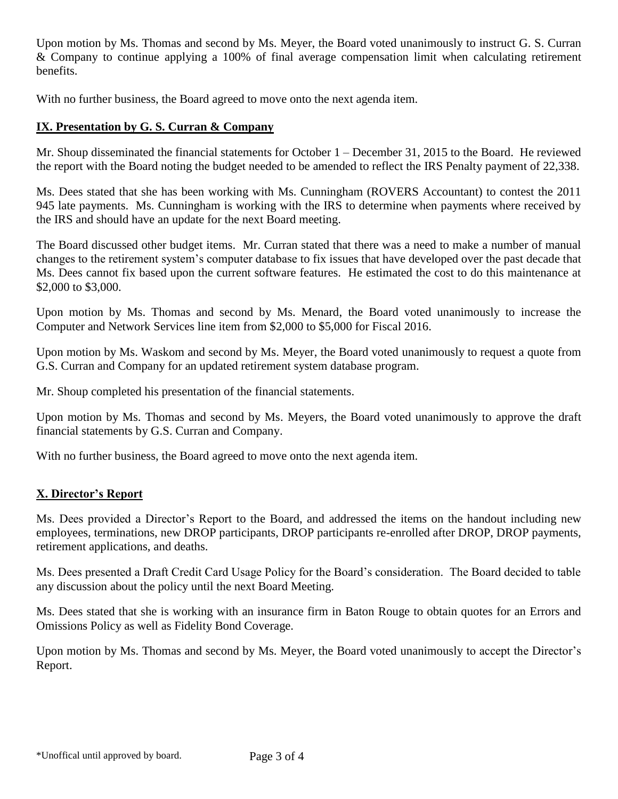Upon motion by Ms. Thomas and second by Ms. Meyer, the Board voted unanimously to instruct G. S. Curran & Company to continue applying a 100% of final average compensation limit when calculating retirement benefits.

With no further business, the Board agreed to move onto the next agenda item.

## **IX. Presentation by G. S. Curran & Company**

Mr. Shoup disseminated the financial statements for October 1 – December 31, 2015 to the Board. He reviewed the report with the Board noting the budget needed to be amended to reflect the IRS Penalty payment of 22,338.

Ms. Dees stated that she has been working with Ms. Cunningham (ROVERS Accountant) to contest the 2011 945 late payments. Ms. Cunningham is working with the IRS to determine when payments where received by the IRS and should have an update for the next Board meeting.

The Board discussed other budget items. Mr. Curran stated that there was a need to make a number of manual changes to the retirement system's computer database to fix issues that have developed over the past decade that Ms. Dees cannot fix based upon the current software features. He estimated the cost to do this maintenance at \$2,000 to \$3,000.

Upon motion by Ms. Thomas and second by Ms. Menard, the Board voted unanimously to increase the Computer and Network Services line item from \$2,000 to \$5,000 for Fiscal 2016.

Upon motion by Ms. Waskom and second by Ms. Meyer, the Board voted unanimously to request a quote from G.S. Curran and Company for an updated retirement system database program.

Mr. Shoup completed his presentation of the financial statements.

Upon motion by Ms. Thomas and second by Ms. Meyers, the Board voted unanimously to approve the draft financial statements by G.S. Curran and Company.

With no further business, the Board agreed to move onto the next agenda item.

### **X. Director's Report**

Ms. Dees provided a Director's Report to the Board, and addressed the items on the handout including new employees, terminations, new DROP participants, DROP participants re-enrolled after DROP, DROP payments, retirement applications, and deaths.

Ms. Dees presented a Draft Credit Card Usage Policy for the Board's consideration. The Board decided to table any discussion about the policy until the next Board Meeting.

Ms. Dees stated that she is working with an insurance firm in Baton Rouge to obtain quotes for an Errors and Omissions Policy as well as Fidelity Bond Coverage.

Upon motion by Ms. Thomas and second by Ms. Meyer, the Board voted unanimously to accept the Director's Report.